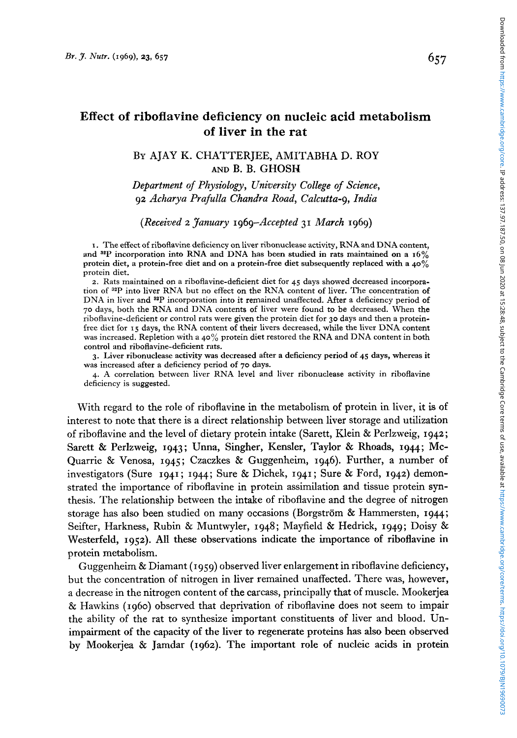# **Effect of riboflavine deficiency on nucleic acid metabolism of liver in the rat**

# BY AJAY **K.** CHATTERJEE, AMITABHA D. ROY **AND B. B.** GHOSH

*Department of Physiology, University College of Science, 92 Acharya Prafulla Chandra Road, Calcutta-9, India* 

*(Received 2 January 1969-Accepted 31 March 1969)* 

**I.** The effect of riboflavine deficiency on liver ribonuclease activity, RNA and DNA content, and **ssp** incorporation into RNA and DNA has been studied in rats maintained on a **16%**  protein diet, a protein-free diet and on a protein-free diet subsequently replaced with a **40%**  protein diet.

*2.* Rats maintained on a riboflavine-deficient diet for **45** days showed decreased incorporation of **32P** into liver RNA but no effect on the **RNA** content **of** liver. The concentration of DNA in liver and <sup>82</sup>P incorporation into it remained unaffected. After a deficiency period of **70** days, both the RNA and DNA contents of liver were found to **be** decreased. When the riboflavine-deficient or control rats were given the protein diet for 30 days and then a proteinfree diet for I **5** days, the RNA content of their livers decreased, while the liver DNA content was increased. Repletion with **a 40%** protein diet restored the RNA and DNA content in both control and riboflavine-deficient rats.

**3.** Liver ribonuclease activity was decreased after a deficiency period of **45** days, whereas it was increased after a deficiency period of *70* days.

4. A correlation between liver RNA level and liver ribonuclease activity in riboflavine deficiency is suggested.

With regard to the role of riboflavine in the metabolism **of** protein in liver, it **is** of interest to note that there is a direct relationship between liver storage and utilization of riboflavine and the level of dietary protein intake (Sarett, Klein & Perlzweig, *1942;*  Sarett & Perlzweig, *1943;* Unna, Singher, Kensler, Taylor & **Rhoads,** *1944;* Mc-Quarrie & Venosa, *1945;* Czaczkes & Guggenheim, *1946).* Further, a number of investigators (Sure *1941* ; *1944;* Sure & Dichek, *1941* ; Sure & Ford, *1942)* demonstrated the importance of riboflavine in protein assimilation and tissue protein synthesis. The relationship between the intake of riboflavine and the degree of nitrogen storage has also been studied on many occasions (Borgstrom & Hammersten, *1944;*  Seifter, Harkness, Rubin & Muntwyler, *1948;* Mayfield & Hedrick, *1949;* Doisy & Westerfeld, *1952).* All these observations indicate the importance of riboflavine in protein metabolism.

Guggenheim & Diamant *(1959)* observed liver enlargement in riboflavine deficiency, but the concentration of nitrogen in liver remained unaffected. There was, however, a decrease in the nitrogen content of the carcass, principally that of muscle. Mookerjea & Hawkins *(1960)* observed that deprivation of riboflavine does not seem to impair the ability of the rat to synthesize important constituents of liver and blood. Unimpairment of the capacity of the liver to regenerate proteins has also been observed by Mookerjea & Jamdar *(1962).* The important role **of** nucleic acids in protein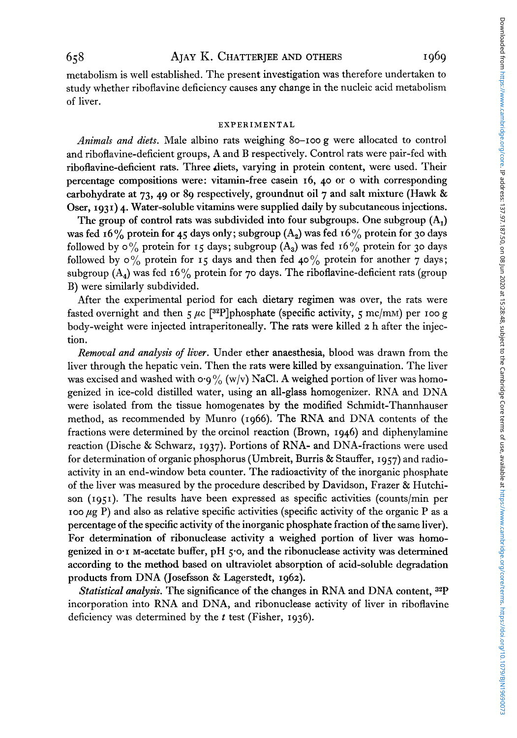metabolism is well established. The present investigation was therefore undertaken to study whether riboflavine deficiency causes any change in the nucleic acid metabolism of liver.

#### **EXPERIMENTAL**

*Animals and diets.* Male albino rats weighing **80-100** g were allocated to control and riboflavine-deficient groups, A and B respectively. Control rats were pair-fed with riboflavine-deficient rats. Three diets, varying in protein content, were used. Their percentage compositions were: vitamin-free casein **16,** 40 or **o** with corresponding carbohydrate at **73, 49** or **89** respectively, groundnut oil **7** and salt mixture (Hawk & Oser, **1931**) 4. Water-soluble vitamins were supplied daily by subcutaneous injections.

The group of control rats was subdivided into four subgroups. One subgroup  $(A_1)$ was fed **16%** protein for **45** days only; subgroup (A,) was fed **16%** protein for **30** days followed by  $\circ$ % protein for 15 days; subgroup  $(A_3)$  was fed 16% protein for 30 days followed by *0%* protein for **15** days and then fed **40%** protein for another **7** days; subgroup (A4) was fed **16%** protein for **70** days. The riboflavine-deficient rats (group B) were similarly subdivided.

After the experimental period for each dietary regimen was over, the rats were fasted overnight and then  $5 \mu c$  [<sup>32</sup>P]phosphate (specific activity,  $5 \text{ mc/mm}$ ) per 100 g body-weight were injected intraperitoneally. The rats were killed *2* h after the injection.

*Removal and analysis of liver.* Under ether anaesthesia, blood was drawn from the liver through the hepatic vein. Then the rats were killed by exsanguination. The liver was excised and washed with  $\sigma g_{0}^{0}$  (w/v) NaCl. A weighed portion of liver was homogenized in ice-cold distilled water, using an all-glass homogenizer. RNA and DNA were isolated from the tissue homogenates by the modified Schmidt-Thannhauser method, as recommended by Munro **(1966).** The RNA and DNA contents of the fractions were determined by the orcinol reaction (Brown, **1946)** and diphenylamine reaction (Dische & Schwarz, **1937).** Portions of RNA- and DNA-fractions were used for determination of organic phosphorus (Umbreit, Burris & Stauffer, **1957)** and radioactivity in an end-window beta counter. The radioactivity of the inorganic phosphate of the liver was measured by the procedure described by Davidson, Frazer & Hutchison **(1951).** The results have been expressed as specific activities (counts/min per  $\mu$ g P) and also as relative specific activities (specific activity of the organic P as a percentage **of** the specific activity of the inorganic phosphate fraction of the same liver). For determination of ribonuclease activity a weighed portion of liver was homogenized in **0-1** M-acetate buffer, pH **5.0,** and the ribonuclease activity was determined according to the method based on ultraviolet absorption of acid-soluble degradation products from DNA (Josefsson & Lagerstedt, **1962).** 

*Statistical analysis.* The significance of the changes in RNA and DNA content, incorporation into RNA and DNA, and ribonuclease activity of liver in riboflavine deficiency was determined by the *t* test (Fisher, **1936).**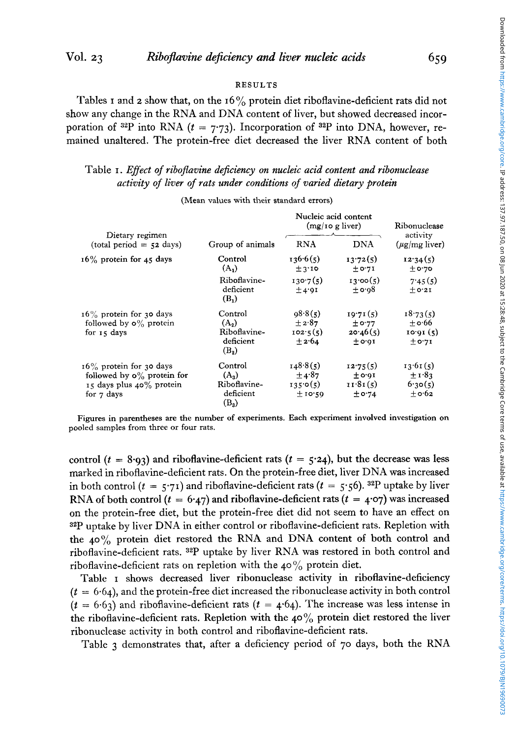### RESULTS

Tables I and *2* show that, on the **16%** protein diet riboflavine-deficient rats did not show any change in the **RNA** and **DNA** content of liver, but showed decreased incorporation of <sup>32</sup>P into RNA  $(t = 7.73)$ . Incorporation of <sup>32</sup>P into DNA, however, remained unaltered. The protein-free diet decreased the liver **RNA** content of both

# Table I. *Effect of riboflavine dejiciency on nucleic acid content and ribonuclease activity of liver of rats under conditions of varied dietary protein*

|                                                                                                                | Group of animals                                           | Nucleic acid content<br>$(mg/10 g$ liver)         |                                              | Ribonuclease                                  |
|----------------------------------------------------------------------------------------------------------------|------------------------------------------------------------|---------------------------------------------------|----------------------------------------------|-----------------------------------------------|
| Dietary regimen<br>$(total period = 52 days)$                                                                  |                                                            | <b>RNA</b>                                        | <b>DNA</b>                                   | activity<br>$(\mu$ g/mg liver)                |
| $16\%$ protein for 45 days                                                                                     | Control<br>$(A_1)$                                         | 136.6(5)<br>±3.10                                 | 13.72(5)<br>± 0.71                           | 12.34(5)<br>$±$ o·70                          |
|                                                                                                                | Riboflavine-<br>deficient<br>$(\mathbf{B}_1)$              | 130.7(5)<br>±4.9I                                 | 13,00(5)<br>$\pm$ 0.98                       | 7.45(5)<br>$+0.21$                            |
| $16\%$ protein for 30 days<br>followed by $\mathbf{o}$ % protein<br>for 15 days                                | Control<br>$(A_2)$<br>Riboflavine-<br>deficient<br>$(B_2)$ | 98.8(5)<br>$\pm 2.87$<br>102.5(5)<br>$+2.64$      | 19.71(5)<br>± 0.77<br>20.46(5)<br>$\pm$ 0.01 | 18.73(5)<br>$\pm$ 0.66<br>10.01(5)<br>± 0.71  |
| $16\%$ protein for 30 days<br>followed by $\mathbf{o}$ % protein for<br>15 days plus 40% protein<br>for 7 days | Control<br>$(A_3)$<br>Riboflavine-<br>deficient<br>$(B_3)$ | 148.8(5)<br>$\pm$ 4.87<br>135.0(5)<br>$\pm$ 10.59 | 12.75(5)<br>$\pm$ 0.01<br>11.81(5)<br>± 0.74 | 13.61(5)<br>$\pm$ 1.83<br>6.30(5)<br>$+$ 0.62 |

**(Mean values with their standard errors)** 

**Figures in parentheses are the number of experiments. Each experiment involved investigation on pooled samples from three or four rats.** 

control  $(t = 8.93)$  and riboflavine-deficient rats  $(t = 5.24)$ , but the decrease was less marked in riboflavine-deficient rats. On the protein-free diet, liver **DNA** was increased in both control  $(t = 5.71)$  and riboflavine-deficient rats  $(t = 5.56)$ . <sup>32</sup>P uptake by liver **RNA** of both control  $(t = 6.47)$  and riboflavine-deficient rats  $(t = 4.07)$  was increased on the protein-free diet, but the protein-free diet did not seem to have an effect on **32P** uptake by liver **DNA** in either control or riboflavine-deficient rats. Repletion with the **40%** protein diet restored the RNA and DNA content **of** both control and riboflavine-deficient rats. **32P** uptake by liver **RNA** was restored in both control and riboflavine-deficient rats on repletion with the 40% protein diet.

Table **I** shows decreased liver ribonuclease activity in riboflavine-deficiency  $(t = 6.64)$ , and the protein-free diet increased the ribonuclease activity in both control  $(t = 6.63)$  and riboflavine-deficient rats  $(t = 4.64)$ . The increase was less intense in the riboflavine-deficient rats. Repletion with the **40%** protein diet restored the liver ribonuclease activity in both control and riboflavine-deficient rats.

Table **3** demonstrates that, after a deficiency period of 70 days, both the RNA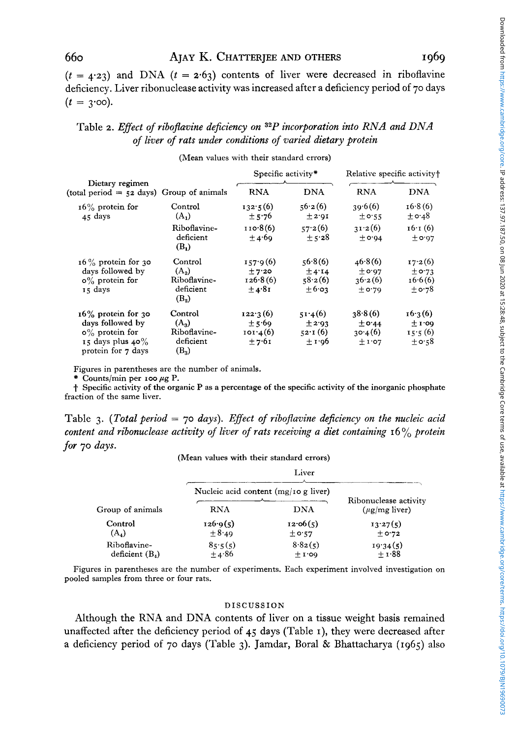### 660 **AJAY** K. **CHATTERJEE AND OTHERS I969**

 $(t = 4.23)$  and DNA  $(t = 2.63)$  contents of liver were decreased in riboflavine deficiency. Liver ribonuclease activity was increased after a deficiency period of 70 days  $(t = 3.00)$ .

# Table 2. *Effect of riboflavine deficiency on* <sup>32</sup>P *incorporation into RNA and DNA of liver of rats under conditions of varied dietary protein*

(Mean values with their standard errors)

|                                                                                                                 |                                                            | Specific activity*                             |                                                   | Relative specific activity†                  |                                                |
|-----------------------------------------------------------------------------------------------------------------|------------------------------------------------------------|------------------------------------------------|---------------------------------------------------|----------------------------------------------|------------------------------------------------|
| Dietary regimen<br>(total period $=$ 52 days) Group of animals                                                  |                                                            | <b>RNA</b>                                     | <b>DNA</b>                                        | <b>RNA</b>                                   | <b>DNA</b>                                     |
| $16\%$ protein for<br>45 days                                                                                   | Control<br>$(A_1)$                                         | 132.5(6)<br>± 5.76                             | 56.2(6)<br>± 2.91                                 | 39.6(6)<br>± 0.55                            | 16.8(6)<br>$\pm$ 0.48                          |
|                                                                                                                 | Riboflavine-<br>deficient<br>$(B_1)$                       | 110.8(6)<br>±4.69                              | 57.2(6)<br>± 5.28                                 | 31.2(6)<br>$\pm$ 0.94                        | $16 \cdot 1(6)$<br>$\pm$ 0.97                  |
| $16\%$ protein for 30<br>days followed by<br>$\circ\%$ protein for<br>15 days                                   | Control<br>$(A_2)$<br>Riboflavine-<br>deficient<br>$(B_2)$ | 157.9(6)<br>±7.20<br>126.8(6)<br>±4.81         | 56.8(6)<br>±4.14<br>58.2(6)<br>$\pm 6.03$         | 46.8(6)<br>$+$ 0.97<br>36.2(6)<br>$\pm$ 0.79 | 17.2(6)<br>$\pm$ 0.73<br>16.6(6)<br>$\pm$ 0.78 |
| $16\%$ protein for 30<br>days followed by<br>$\circ$ % protein for<br>15 days plus $40\%$<br>protein for 7 days | Control<br>$(A_3)$<br>Riboflavine-<br>deficient<br>$(B_3)$ | 122.3(6)<br>±5.69<br>$101 \cdot 4(6)$<br>±7.61 | 51.4(6)<br>±2.93<br>$52 \cdot 1(6)$<br>$\pm 1.96$ | 38.8(6)<br>± 0.44<br>30.4(6)<br>$\pm 1.07$   | 16.3(6)<br>±1.09<br>15.5(6)<br>$\pm$ 0:58      |

Figures in parentheses are the number of animals.

 $*$  Counts/min per 100  $\mu$ g P.

t Specific activity of the organic **<sup>P</sup>**as a percentage **of** the specific activity **of** the inorganic phosphate fraction of the same liver.

Table *3. (Total period* = *70 days). Effect of ribojlavine dejiciency on the nucleic acid content and ribonuclease activity of liver of rats receiving a diet containing* 16 *yo protein for 70 days.* 

#### (Mean values with their standard errors)

| (ivicali values with their standard cribis) |                                         |                       |                                             |  |  |  |
|---------------------------------------------|-----------------------------------------|-----------------------|---------------------------------------------|--|--|--|
|                                             | Liver                                   |                       |                                             |  |  |  |
| Group of animals                            | Nucleic acid content $(mg/10 g)$ liver) |                       |                                             |  |  |  |
|                                             | <b>RNA</b>                              | DNA                   | Ribonuclease activity<br>$(\mu$ g/mg liver) |  |  |  |
| Control<br>$(A_4)$                          | 126.9(5)<br>$\pm$ 8.49                  | 12.06(5)<br>± 0.57    | 13.27(5)<br>± 0.72                          |  |  |  |
| Riboflavine-<br>deficient $(B_4)$           | 85.5(5)<br>±4.86                        | 8.82(5)<br>$\pm$ 1.00 | 19.34(5)<br>$\pm$ 1.88                      |  |  |  |

Figures in parentheses are the number of experiments. Each experiment involved investigation on pooled samples from three or four rats.

#### DISCUSSION

Although the RNA and DNA contents of liver on a tissue weight basis remained unaffected after the deficiency period of **45** days (Table I), they were decreased after a deficiency period of 70 days (Table **3).** Jamdar, Boral & Bhattacharya (1965) also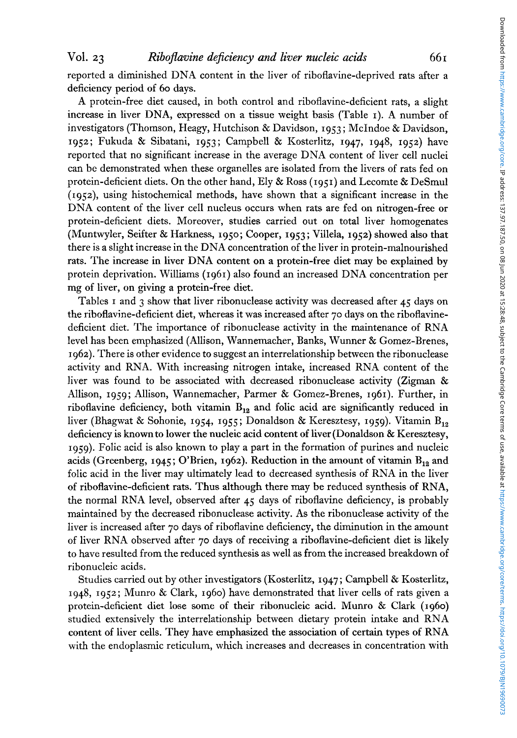reported a diminished DNA content in the liver of riboflavine-deprived rats after a deficiency period of **60** days.

A protein-free diet caused, in both control and riboflavine-deficient rats, a slight increase in liver DNA, expressed on a tissue weight basis (Table **I).** A number of investigators (Thomson, Heagy, Hutchison & Davidson, **1953** ; McIndoe & Davidson, **1952;** Fukuda & Sibatani, **1953;** Campbell & Kosterlitz, **1947, 1948, 1952)** have reported that no significant increase in the average DNA content of liver cell nuclei can be demonstrated when these organelles are isolated from the livers of rats fed on protein-deficient diets. On the other hand, Ely & Ross **(1951)** and Lecomte & DeSmul **(I~sz),** using histochemical methods, have shown that a significant increase in the DNA content of the liver cell nucleus occurs when rats are fed on nitrogen-free or protein-deficient diets. Moreover, studies carried out on total liver homogenates (Muntwyler, Seifter & Harkness, **1950;** Cooper, **1953;** Villela, **1952)** showed also that there is a slight increase in the DNA concentration of the liver in protein-malnourished rats. The increase in liver DNA content on a protein-free diet may be explained by protein deprivation. Williams **(1961)** also found an increased DNA concentration per mg of liver, on giving a protein-free diet.

Tables **I** and 3 show that liver ribonuclease activity was decreased after **45** days on the riboflavine-deficient diet, whereas it was increased after 70 days on the riboflavinedeficient diet. The importance of ribonuclease activity in the maintenance of RNA level has been emphasized (Allison, Wannemacher, Banks, Wunner & Gomez-Brenes, **I 962).** There is other evidence to suggest an interrelationship between the ribonuclease activity and RNA. With increasing nitrogen intake, increased RNA content of the liver was found to be associated with decreased ribonuclease activity (Zigman & Allison, **1959** ; Allison, Wannemacher, Parmer & Gomez-Brenes, **1961).** Further, in riboflavine deficiency, both vitamin  $B_{12}$  and folic acid are significantly reduced in liver (Bhagwat & Sohonie, **1954, 1955;** Donaldson & Keresztesy, **1959).** Vitamin B,, deficiency is known to lower the nucleic acid content of liver (Donaldson & Keresztesy, 1959). Folic acid is also known to play a part in the formation of purines and nucleic acids (Greenberg,  $1945$ ; O'Brien,  $1962$ ). Reduction in the amount of vitamin  $B_{12}$  and folic acid in the liver may ultimately lead to decreased synthesis of RNA in the liver of riboflavine-deficient rats. Thus although there may be reduced synthesis of RNA, the normal RNA level, observed after **45** days of riboflavine deficiency, is probably maintained by the decreased ribonuclease activity. **As** the ribonuclease activity of the liver is increased after 70 days of riboflavine deficiency, the diminution in the amount of liver RNA observed after **70** days of receiving a riboflavine-deficient diet is likely to have resulted from the reduced synthesis as well as from the increased breakdown of ribonucleic acids.

Studies carried out by other investigators (Kosterlitz, **1947** ; Campbell & Kosterlitz, **1948, 1952;** Munro & Clark, **1960)** have demonstrated that liver cells of rats given a protein-deficient diet lose some of their ribonucleic acid. Munro & Clark **(1960)**  studied extensively the interrelationship between dietary protein intake and RNA content of liver cells. They have emphasized the association of certain types of RNA with the endoplasmic reticulum, which increases and decreases in concentration with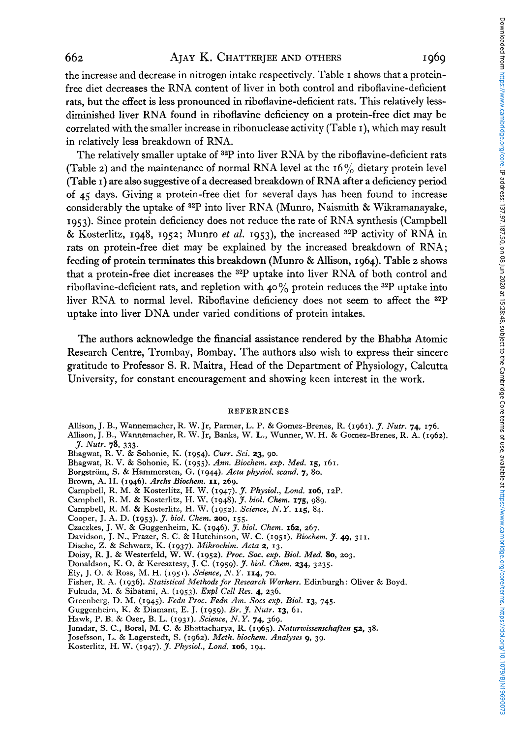the increase and decrease in nitrogen intake respectively. Table I shows that a proteinfree diet decreases the RNA content of liver in both control and riboflavine-deficient rats, but the effect is less pronounced in riboflavine-deficient rats. This relatively lessdiminished liver RNA found in riboflavine deficiency on a protein-free diet may be correlated with the smaller increase in ribonuclease activity (Table **I),** which may result in relatively less breakdown of RNA.

The relatively smaller uptake of <sup>32</sup>P into liver RNA by the riboflavine-deficient rats (Table *z*) and the maintenance of normal RNA level at the  $16\%$  dietary protein level (Table **I)** are also suggestive of a decreased breakdown of RNA after a deficiency period **of 45** days. Giving a protein-free diet for several days has been found to increase considerably the uptake **of 32P** into liver RNA (Munro, Naismith & Wikramanayake, 1953). Since protein deficiency does not reduce the rate of RNA synthesis (Campbell & Kosterlitz, **1948,** 1952; Munro *et al.* 1953), the increased **32P** activity of RNA in rats on protein-free diet may be explained by the increased breakdown of RNA; feeding of protein terminates this breakdown (Munro & Allison, **1964).** Table *z* shows that a protein-free diet increases the 32P uptake into liver RNA of both control and riboflavine-deficient rats, and repletion with  $40\%$  protein reduces the <sup>32</sup>P uptake into liver RNA to normal level. Riboflavine deficiency does not seem to affect the **32P**  uptake into liver DNA under varied conditions of protein intakes.

The authors acknowledge the financial assistance rendered by the Bhabha Atomic Research Centre, Trombay, Bombay. The authors also wish to express their sincere gratitude to Professor S. **R.** Maitra, Head of the Department of Physiology, Calcutta University, for constant encouragement and showing keen interest in the work.

#### REFERENCES

- Allison, J. B., Wannemacher, R. W. Jr, Parmer, **L.** P. & Gomez-Brenes, R. (1961). *J. Nutr.* **74,** 176.
- Allison, J. B., Wannemacher, R. W. Jr, Banks, W. **L.,** Wunner, W. H. & Gomez-Brenes, R. A. (1962). *J. Nutr.* **78,** 333.
- Bhagwat, R. **V.** & Sohonie, K. (1954). **Curr.** *Sci.* **23,** 90.
- Bhagwat, R. V. & Sohonie, K. (1955). *Ann. Biochem. exp. Med.* **15,** 161.
- Borgstrom, **S.** & Hammersten, G. (1944). *Acta physiol. scand. 7,* 80.
- Brown, A. H. (1946). *Archs Biochem.* **11,** 269.
- Campbell, R. M. & Kosterlitz, H. W. (1947). *r. Physiol., Lond.* **106, IZP.**
- Campbell, R. M. & Kosterlitz, H. W. (1948). *J. biol. Chem.* **175,** 989.
- Campbell, R. M. & Kosterlitz, H. W. (1952). *Science, N. Y.* **115,** 84.
- Cooper, J. **A.** D. (1953). *J. biol. Chem.* **200, 155.**
- Czaczkes, J. W. & Guggenheim, K. (1946). *J. biol. Chem.* **162,** 267.
- Davidson, J. N., Frazer, S. **C.** & Hutchinson, W. C. (1951). *Biochem. J.* **49,** 311.
- Dische, *2.* & Schwarz, K. (1937). *Mikrochim. Acta 2,* **13.**
- Doisy, R. J. & Westerfeld, W. W. (1952). *Proc. Sac. exp. Biol. Med. 80, 203.*
- Donaldson, K. 0. & Keresztesy, **J.** C. (1959). *J. biol. Chenz.* **234,** 3235.
- Ely, J. 0. & Ross, M. H. (1951). *Science, N.Y.* **114,** *70.*
- Fisher, R. **A.** (1936). *Statistical Methods* for *Research Workers.* Edinburgh: Oliver & Boyd.
- Fukuda, M. & Sibatani, **A.** (1953). *Expl Cell Res.* **4,** 236.
- Greenberg, **D.** M. (1945). *Fedn* Proc. *Fedn Am. Socs exp. Biol.* **13,** 745.
- Guggenheim, **K.** & Diamant, E. J. (1959). *Br.* 'J. *Nutr.* **13,** 61.
- Hawk, **P.** B. & Oser, B. L. (1931). *Science, N.* Y. **74,** 369.
- Jamdar, **S.** C., Boral, **M.** *C.* & Bhattacharya, R. (1965). *Naturwissemckaften* **52,** 38.
- Josefsson, **1,.** & Lagerstedt, S. (1962). *Meth. biochem. Analyses 9,* 39.
- Kosterlitz, H. W. (1947). *J. Physiol., Lond.* **106**, 194.